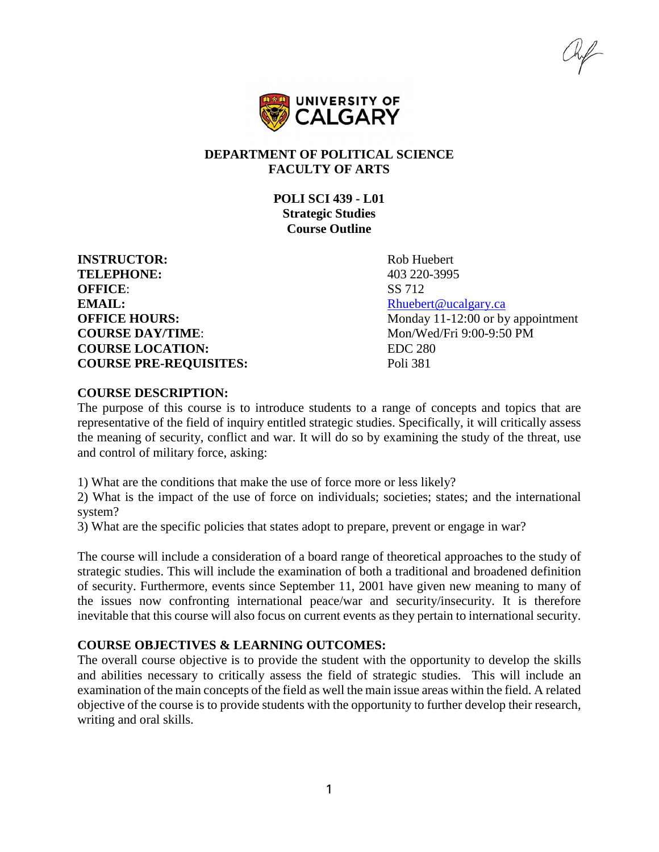hif



### **DEPARTMENT OF POLITICAL SCIENCE FACULTY OF ARTS**

**POLI SCI 439 - L01 Strategic Studies Course Outline**

**INSTRUCTOR:** Rob Huebert **TELEPHONE:** 403 220-3995 **OFFICE:** SS 712 **EMAIL:** [Rhuebert@ucalgary.ca](mailto:Rhuebert@ucalgary.ca) **COURSE DAY/TIME:** Mon/Wed/Fri 9:00-9:50 PM **COURSE LOCATION:** EDC 280 **COURSE PRE-REQUISITES:** Poli 381

**OFFICE HOURS:** Monday 11-12:00 or by appointment

#### **COURSE DESCRIPTION:**

The purpose of this course is to introduce students to a range of concepts and topics that are representative of the field of inquiry entitled strategic studies. Specifically, it will critically assess the meaning of security, conflict and war. It will do so by examining the study of the threat, use and control of military force, asking:

1) What are the conditions that make the use of force more or less likely?

2) What is the impact of the use of force on individuals; societies; states; and the international system?

3) What are the specific policies that states adopt to prepare, prevent or engage in war?

The course will include a consideration of a board range of theoretical approaches to the study of strategic studies. This will include the examination of both a traditional and broadened definition of security. Furthermore, events since September 11, 2001 have given new meaning to many of the issues now confronting international peace/war and security/insecurity. It is therefore inevitable that this course will also focus on current events as they pertain to international security.

#### **COURSE OBJECTIVES & LEARNING OUTCOMES:**

The overall course objective is to provide the student with the opportunity to develop the skills and abilities necessary to critically assess the field of strategic studies. This will include an examination of the main concepts of the field as well the main issue areas within the field. A related objective of the course is to provide students with the opportunity to further develop their research, writing and oral skills.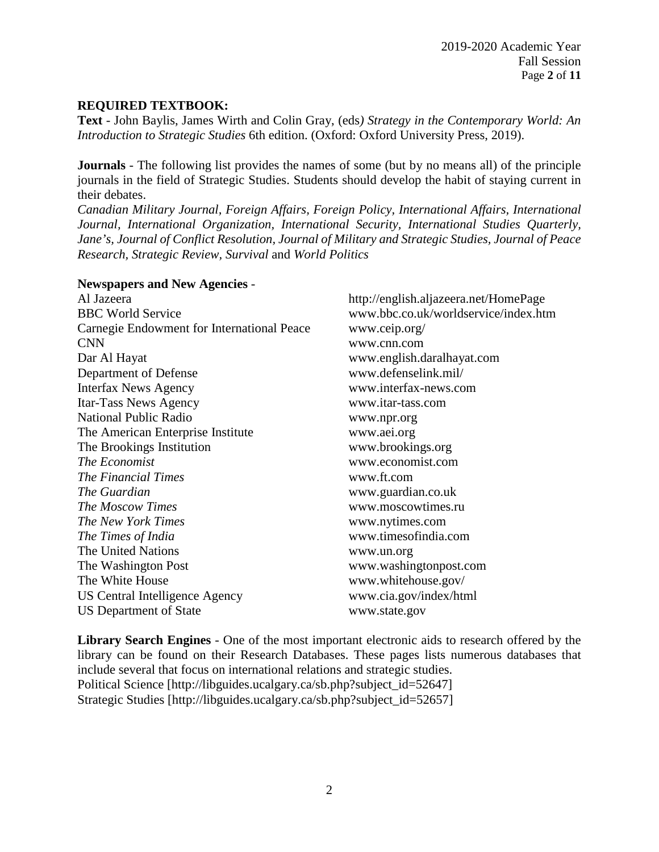### **REQUIRED TEXTBOOK:**

**Text** - John Baylis, James Wirth and Colin Gray, (eds*) Strategy in the Contemporary World: An Introduction to Strategic Studies* 6th edition. (Oxford: Oxford University Press, 2019).

**Journals** - The following list provides the names of some (but by no means all) of the principle journals in the field of Strategic Studies. Students should develop the habit of staying current in their debates.

*Canadian Military Journal, Foreign Affairs, Foreign Policy, International Affairs, International Journal, International Organization, International Security, International Studies Quarterly, Jane's, Journal of Conflict Resolution, Journal of Military and Strategic Studies, Journal of Peace Research, Strategic Review, Survival* and *World Politics*

#### **Newspapers and New Agencies** -

Al Jazeera http://english.aljazeera.net/HomePage BBC World Service www.bbc.co.uk/worldservice/index.htm Carnegie Endowment for International Peace www.ceip.org/ CNN www.cnn.com Dar Al Hayat www.english.daralhayat.com Department of Defense www.defenselink.mil/ Interfax News Agency www.interfax-news.com Itar-Tass News Agency www.itar-tass.com National Public Radio www.npr.org The American Enterprise Institute www.aei.org The Brookings Institution www.brookings.org *The Economist* www.economist.com *The Financial Times* www.ft.com *The Guardian* www.guardian.co.uk *The Moscow Times* www.moscowtimes.ru *The New York Times* www.nytimes.com *The Times of India* www.timesofindia.com The United Nations www.un.org The Washington Post www.washingtonpost.com The White House www.whitehouse.gov/ US Central Intelligence Agency www.cia.gov/index/html US Department of State www.state.gov

**Library Search Engines** - One of the most important electronic aids to research offered by the library can be found on their Research Databases. These pages lists numerous databases that include several that focus on international relations and strategic studies. Political Science [http://libguides.ucalgary.ca/sb.php?subject\_id=52647] Strategic Studies [http://libguides.ucalgary.ca/sb.php?subject\_id=52657]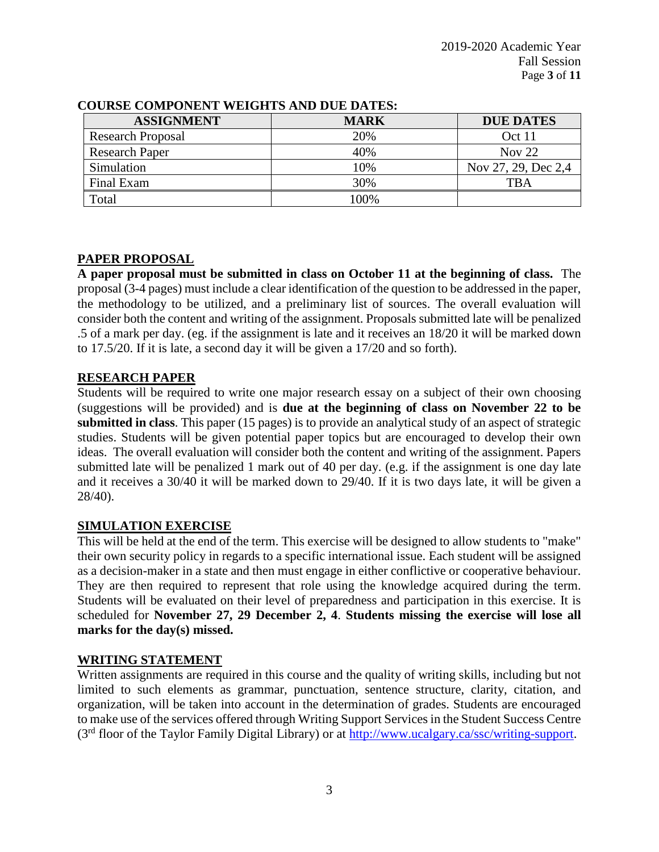| <b>ASSIGNMENT</b>        | <b>MARK</b> | <b>DUE DATES</b>    |
|--------------------------|-------------|---------------------|
| <b>Research Proposal</b> | 20%         | Oct 11              |
| <b>Research Paper</b>    | 40%         | Nov $22$            |
| Simulation               | 10%         | Nov 27, 29, Dec 2,4 |
| Final Exam               | 30%         | TBA                 |
| Total                    | $00\%$      |                     |

### **COURSE COMPONENT WEIGHTS AND DUE DATES:**

### **PAPER PROPOSAL**

**A paper proposal must be submitted in class on October 11 at the beginning of class.** The proposal (3-4 pages) must include a clear identification of the question to be addressed in the paper, the methodology to be utilized, and a preliminary list of sources. The overall evaluation will consider both the content and writing of the assignment. Proposals submitted late will be penalized .5 of a mark per day. (eg. if the assignment is late and it receives an 18/20 it will be marked down to 17.5/20. If it is late, a second day it will be given a 17/20 and so forth).

### **RESEARCH PAPER**

Students will be required to write one major research essay on a subject of their own choosing (suggestions will be provided) and is **due at the beginning of class on November 22 to be submitted in class**. This paper (15 pages) is to provide an analytical study of an aspect of strategic studies. Students will be given potential paper topics but are encouraged to develop their own ideas. The overall evaluation will consider both the content and writing of the assignment. Papers submitted late will be penalized 1 mark out of 40 per day. (e.g. if the assignment is one day late and it receives a 30/40 it will be marked down to 29/40. If it is two days late, it will be given a 28/40).

## **SIMULATION EXERCISE**

This will be held at the end of the term. This exercise will be designed to allow students to "make" their own security policy in regards to a specific international issue. Each student will be assigned as a decision-maker in a state and then must engage in either conflictive or cooperative behaviour. They are then required to represent that role using the knowledge acquired during the term. Students will be evaluated on their level of preparedness and participation in this exercise. It is scheduled for **November 27, 29 December 2, 4**. **Students missing the exercise will lose all marks for the day(s) missed.**

## **WRITING STATEMENT**

Written assignments are required in this course and the quality of writing skills, including but not limited to such elements as grammar, punctuation, sentence structure, clarity, citation, and organization, will be taken into account in the determination of grades. Students are encouraged to make use of the services offered through Writing Support Services in the Student Success Centre (3rd floor of the Taylor Family Digital Library) or at [http://www.ucalgary.ca/ssc/writing-support.](http://www.ucalgary.ca/ssc/writing-support)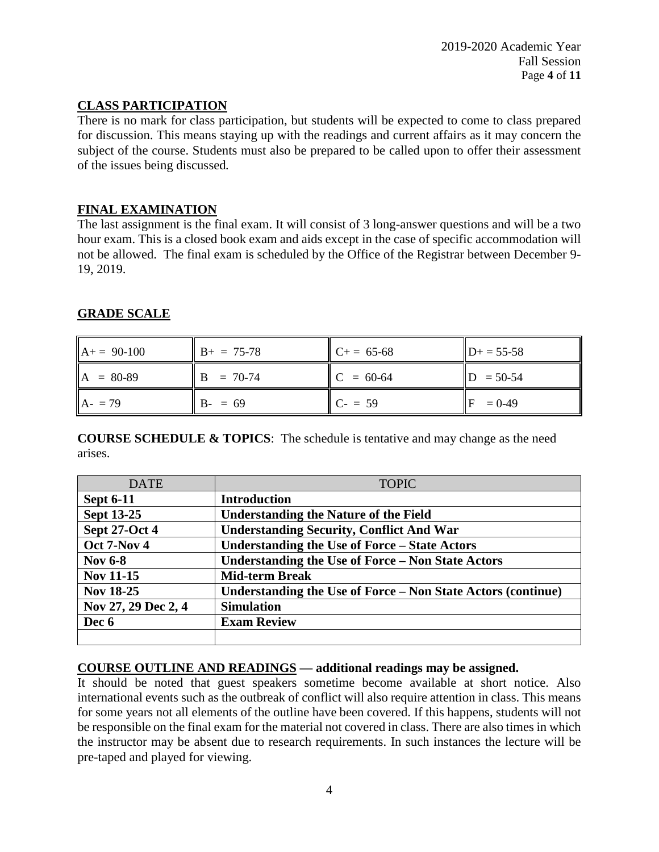# **CLASS PARTICIPATION**

There is no mark for class participation, but students will be expected to come to class prepared for discussion. This means staying up with the readings and current affairs as it may concern the subject of the course. Students must also be prepared to be called upon to offer their assessment of the issues being discussed*.* 

## **FINAL EXAMINATION**

The last assignment is the final exam. It will consist of 3 long-answer questions and will be a two hour exam. This is a closed book exam and aids except in the case of specific accommodation will not be allowed. The final exam is scheduled by the Office of the Registrar between December 9- 19, 2019.

# **GRADE SCALE**

| $A+= 90-100$ | $B+ = 75-78$ | $C+= 65-68$ | $D+ = 55-58$ |
|--------------|--------------|-------------|--------------|
| $A = 80-89$  | $B = 70-74$  | $C = 60-64$ | $D = 50-54$  |
| $A - 79$     | $B - = 69$   | $C = 59$    | $= 0.49$     |

**COURSE SCHEDULE & TOPICS**: The schedule is tentative and may change as the need arises.

| <b>DATE</b>          | <b>TOPIC</b>                                                 |  |
|----------------------|--------------------------------------------------------------|--|
| <b>Sept 6-11</b>     | <b>Introduction</b>                                          |  |
| <b>Sept 13-25</b>    | <b>Understanding the Nature of the Field</b>                 |  |
| <b>Sept 27-Oct 4</b> | <b>Understanding Security, Conflict And War</b>              |  |
| Oct 7-Nov 4          | <b>Understanding the Use of Force – State Actors</b>         |  |
| <b>Nov 6-8</b>       | <b>Understanding the Use of Force - Non State Actors</b>     |  |
| <b>Nov 11-15</b>     | <b>Mid-term Break</b>                                        |  |
| <b>Nov 18-25</b>     | Understanding the Use of Force – Non State Actors (continue) |  |
| Nov 27, 29 Dec 2, 4  | <b>Simulation</b>                                            |  |
| Dec 6                | <b>Exam Review</b>                                           |  |
|                      |                                                              |  |

#### **COURSE OUTLINE AND READINGS — additional readings may be assigned.**

It should be noted that guest speakers sometime become available at short notice. Also international events such as the outbreak of conflict will also require attention in class. This means for some years not all elements of the outline have been covered. If this happens, students will not be responsible on the final exam for the material not covered in class. There are also times in which the instructor may be absent due to research requirements. In such instances the lecture will be pre-taped and played for viewing.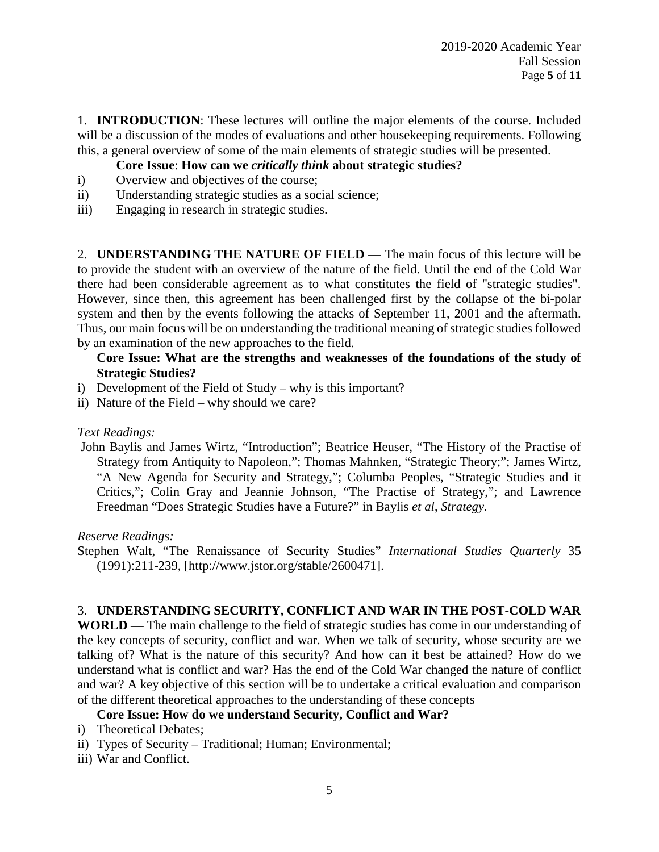1. **INTRODUCTION**: These lectures will outline the major elements of the course. Included will be a discussion of the modes of evaluations and other house keeping requirements. Following this, a general overview of some of the main elements of strategic studies will be presented.

## **Core Issue**: **How can we** *critically think* **about strategic studies?**

- i) Overview and objectives of the course;
- ii) Understanding strategic studies as a social science;
- iii) Engaging in research in strategic studies.

2. **UNDERSTANDING THE NATURE OF FIELD** — The main focus of this lecture will be to provide the student with an overview of the nature of the field. Until the end of the Cold War there had been considerable agreement as to what constitutes the field of "strategic studies". However, since then, this agreement has been challenged first by the collapse of the bi-polar system and then by the events following the attacks of September 11, 2001 and the aftermath. Thus, our main focus will be on understanding the traditional meaning of strategic studies followed by an examination of the new approaches to the field.

### **Core Issue: What are the strengths and weaknesses of the foundations of the study of Strategic Studies?**

- i) Development of the Field of Study why is this important?
- ii) Nature of the Field why should we care?

#### *Text Readings:*

John Baylis and James Wirtz, "Introduction"; Beatrice Heuser, "The History of the Practise of Strategy from Antiquity to Napoleon,"; Thomas Mahnken, "Strategic Theory;"; James Wirtz, "A New Agenda for Security and Strategy,"; Columba Peoples, "Strategic Studies and it Critics,"; Colin Gray and Jeannie Johnson, "The Practise of Strategy,"; and Lawrence Freedman "Does Strategic Studies have a Future?" in Baylis *et al*, *Strategy.*

#### *Reserve Readings:*

Stephen Walt, "The Renaissance of Security Studies" *International Studies Quarterly* 35 (1991):211-239, [http://www.jstor.org/stable/2600471].

## 3. **UNDERSTANDING SECURITY, CONFLICT AND WAR IN THE POST-COLD WAR**

**WORLD** — The main challenge to the field of strategic studies has come in our understanding of the key concepts of security, conflict and war. When we talk of security, whose security are we talking of? What is the nature of this security? And how can it best be attained? How do we understand what is conflict and war? Has the end of the Cold War changed the nature of conflict and war? A key objective of this section will be to undertake a critical evaluation and comparison of the different theoretical approaches to the understanding of these concepts

## **Core Issue: How do we understand Security, Conflict and War?**

- i) Theoretical Debates;
- ii) Types of Security Traditional; Human; Environmental;
- iii) War and Conflict.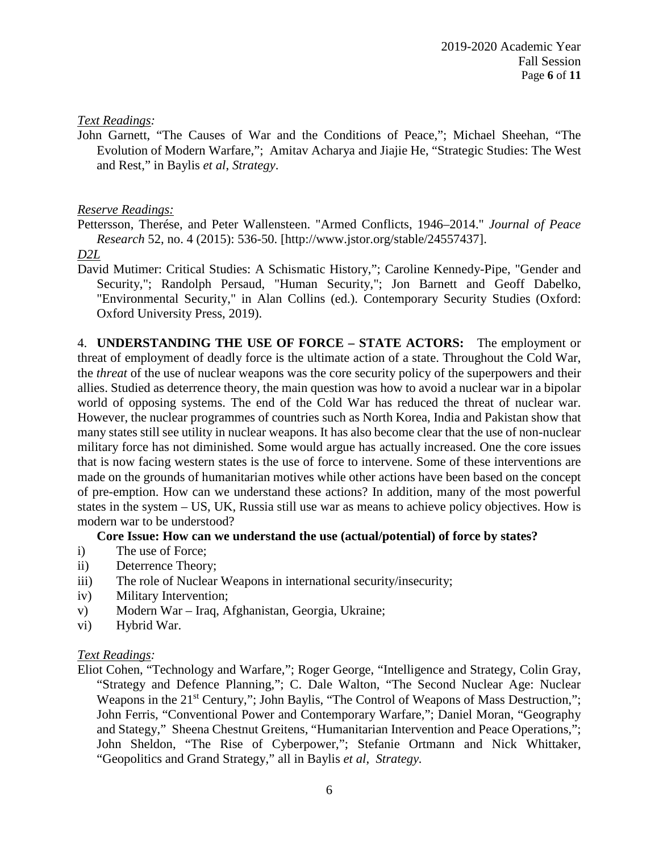### *Text Readings:*

John Garnett, "The Causes of War and the Conditions of Peace,"; Michael Sheehan, "The Evolution of Modern Warfare,"; Amitav Acharya and Jiajie He, "Strategic Studies: The West and Rest," in Baylis *et al*, *Strategy*.

### *Reserve Readings:*

Pettersson, Therése, and Peter Wallensteen. "Armed Conflicts, 1946–2014." *Journal of Peace Research* 52, no. 4 (2015): 536-50. [http://www.jstor.org/stable/24557437].

*D2L*

David Mutimer: Critical Studies: A Schismatic History,"; Caroline Kennedy-Pipe, "Gender and Security,"; Randolph Persaud, "Human Security,"; Jon Barnett and Geoff Dabelko, "Environmental Security," in Alan Collins (ed.). Contemporary Security Studies (Oxford: Oxford University Press, 2019).

4. **UNDERSTANDING THE USE OF FORCE – STATE ACTORS:** The employment or threat of employment of deadly force is the ultimate action of a state. Throughout the Cold War, the *threat* of the use of nuclear weapons was the core security policy of the superpowers and their allies. Studied as deterrence theory, the main question was how to avoid a nuclear war in a bipolar world of opposing systems. The end of the Cold War has reduced the threat of nuclear war. However, the nuclear programmes of countries such as North Korea, India and Pakistan show that many states still see utility in nuclear weapons. It has also become clear that the use of non-nuclear military force has not diminished. Some would argue has actually increased. One the core issues that is now facing western states is the use of force to intervene. Some of these interventions are made on the grounds of humanitarian motives while other actions have been based on the concept of pre-emption. How can we understand these actions? In addition, many of the most powerful states in the system – US, UK, Russia still use war as means to achieve policy objectives. How is modern war to be understood?

#### **Core Issue: How can we understand the use (actual/potential) of force by states?**

- i) The use of Force;
- ii) Deterrence Theory;
- iii) The role of Nuclear Weapons in international security/insecurity;
- iv) Military Intervention;
- v) Modern War Iraq, Afghanistan, Georgia, Ukraine;
- vi) Hybrid War.

## *Text Readings:*

Eliot Cohen, "Technology and Warfare,"; Roger George, "Intelligence and Strategy, Colin Gray, "Strategy and Defence Planning,"; C. Dale Walton, "The Second Nuclear Age: Nuclear Weapons in the 21<sup>st</sup> Century,"; John Baylis, "The Control of Weapons of Mass Destruction,"; John Ferris, "Conventional Power and Contemporary Warfare,"; Daniel Moran, "Geography and Stategy," Sheena Chestnut Greitens, "Humanitarian Intervention and Peace Operations,"; John Sheldon, "The Rise of Cyberpower,"; Stefanie Ortmann and Nick Whittaker, "Geopolitics and Grand Strategy," all in Baylis *et al*, *Strategy.*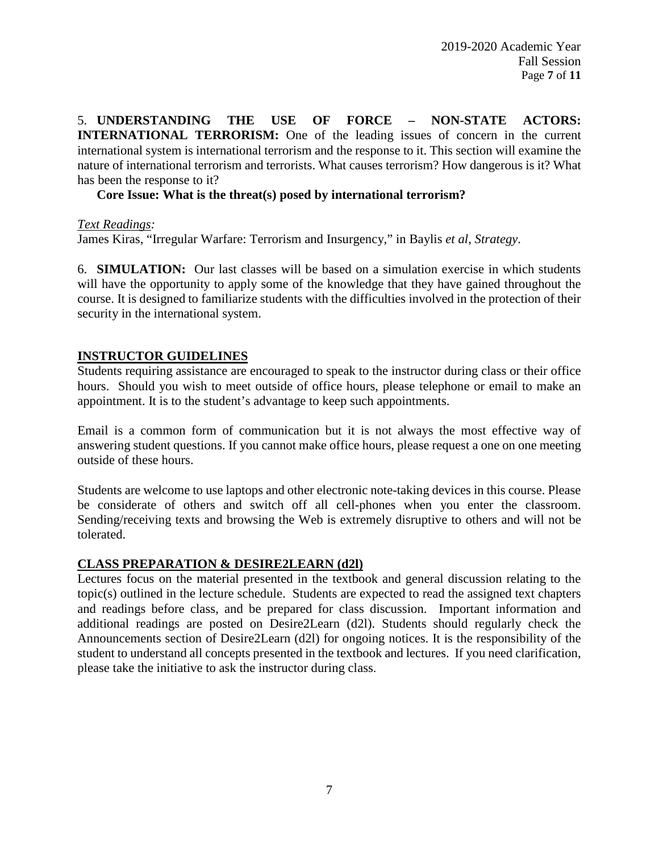5. **UNDERSTANDING THE USE OF FORCE – NON-STATE ACTORS: INTERNATIONAL TERRORISM:** One of the leading issues of concern in the current international system is international terrorism and the response to it. This section will examine the nature of international terrorism and terrorists. What causes terrorism? How dangerous is it? What has been the response to it?

### **Core Issue: What is the threat(s) posed by international terrorism?**

*Text Readings:*

James Kiras, "Irregular Warfare: Terrorism and Insurgency," in Baylis *et al*, *Strategy*.

6. **SIMULATION:** Our last classes will be based on a simulation exercise in which students will have the opportunity to apply some of the knowledge that they have gained throughout the course. It is designed to familiarize students with the difficulties involved in the protection of their security in the international system.

### **INSTRUCTOR GUIDELINES**

Students requiring assistance are encouraged to speak to the instructor during class or their office hours. Should you wish to meet outside of office hours, please telephone or email to make an appointment. It is to the student's advantage to keep such appointments.

Email is a common form of communication but it is not always the most effective way of answering student questions. If you cannot make office hours, please request a one on one meeting outside of these hours.

Students are welcome to use laptops and other electronic note-taking devices in this course. Please be considerate of others and switch off all cell-phones when you enter the classroom. Sending/receiving texts and browsing the Web is extremely disruptive to others and will not be tolerated.

#### **CLASS PREPARATION & DESIRE2LEARN (d2l)**

Lectures focus on the material presented in the textbook and general discussion relating to the topic(s) outlined in the lecture schedule. Students are expected to read the assigned text chapters and readings before class, and be prepared for class discussion. Important information and additional readings are posted on Desire2Learn (d2l). Students should regularly check the Announcements section of Desire2Learn (d2l) for ongoing notices. It is the responsibility of the student to understand all concepts presented in the textbook and lectures. If you need clarification, please take the initiative to ask the instructor during class.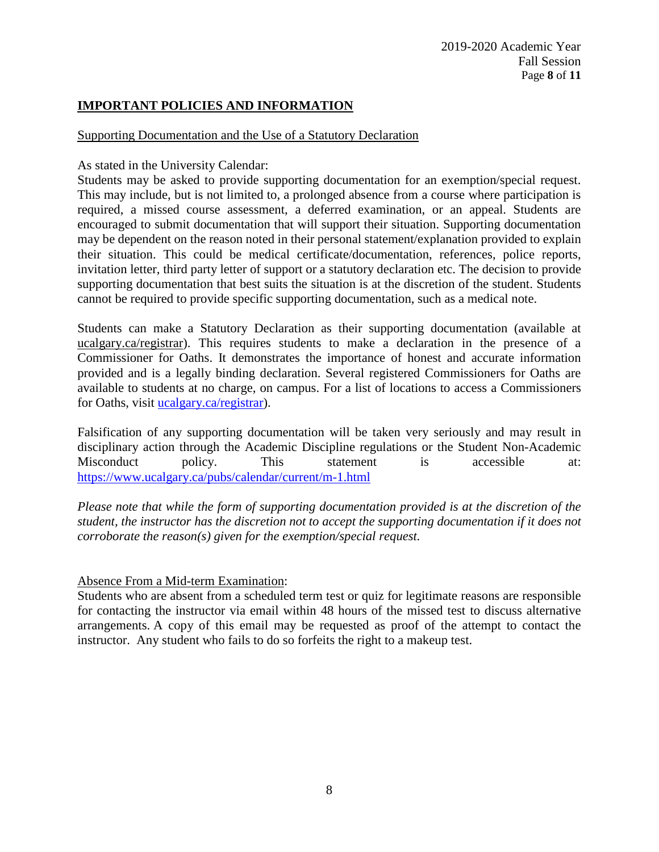## **IMPORTANT POLICIES AND INFORMATION**

#### Supporting Documentation and the Use of a Statutory Declaration

As stated in the University Calendar:

Students may be asked to provide supporting documentation for an exemption/special request. This may include, but is not limited to, a prolonged absence from a course where participation is required, a missed course assessment, a deferred examination, or an appeal. Students are encouraged to submit documentation that will support their situation. Supporting documentation may be dependent on the reason noted in their personal statement/explanation provided to explain their situation. This could be medical certificate/documentation, references, police reports, invitation letter, third party letter of support or a statutory declaration etc. The decision to provide supporting documentation that best suits the situation is at the discretion of the student. Students cannot be required to provide specific supporting documentation, such as a medical note.

Students can make a Statutory Declaration as their supporting documentation (available at ucalgary.ca/registrar). This requires students to make a declaration in the presence of a Commissioner for Oaths. It demonstrates the importance of honest and accurate information provided and is a legally binding declaration. Several registered Commissioners for Oaths are available to students at no charge, on campus. For a list of locations to access a Commissioners for Oaths, visit [ucalgary.ca/registrar\)](http://www.ucalgary.ca/registrar).

Falsification of any supporting documentation will be taken very seriously and may result in disciplinary action through the Academic Discipline regulations or the Student Non-Academic Misconduct policy. This statement is accessible at: <https://www.ucalgary.ca/pubs/calendar/current/m-1.html>

*Please note that while the form of supporting documentation provided is at the discretion of the student, the instructor has the discretion not to accept the supporting documentation if it does not corroborate the reason(s) given for the exemption/special request.*

#### Absence From a Mid-term Examination:

Students who are absent from a scheduled term test or quiz for legitimate reasons are responsible for contacting the instructor via email within 48 hours of the missed test to discuss alternative arrangements. A copy of this email may be requested as proof of the attempt to contact the instructor. Any student who fails to do so forfeits the right to a makeup test.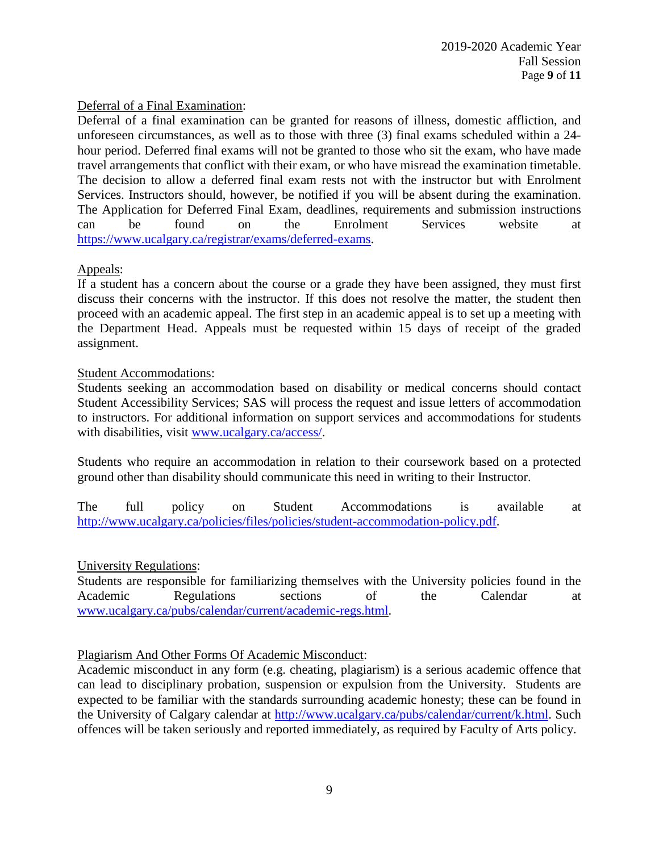### Deferral of a Final Examination:

Deferral of a final examination can be granted for reasons of illness, domestic affliction, and unforeseen circumstances, as well as to those with three (3) final exams scheduled within a 24 hour period. Deferred final exams will not be granted to those who sit the exam, who have made travel arrangements that conflict with their exam, or who have misread the examination timetable. The decision to allow a deferred final exam rests not with the instructor but with Enrolment Services. Instructors should, however, be notified if you will be absent during the examination. The Application for Deferred Final Exam, deadlines, requirements and submission instructions can be found on the Enrolment Services website at [https://www.ucalgary.ca/registrar/exams/deferred-exams.](https://www.ucalgary.ca/registrar/exams/deferred-exams)

## Appeals:

If a student has a concern about the course or a grade they have been assigned, they must first discuss their concerns with the instructor. If this does not resolve the matter, the student then proceed with an academic appeal. The first step in an academic appeal is to set up a meeting with the Department Head. Appeals must be requested within 15 days of receipt of the graded assignment.

### Student Accommodations:

Students seeking an accommodation based on disability or medical concerns should contact Student Accessibility Services; SAS will process the request and issue letters of accommodation to instructors. For additional information on support services and accommodations for students with disabilities, visit [www.ucalgary.ca/access/.](http://www.ucalgary.ca/access/)

Students who require an accommodation in relation to their coursework based on a protected ground other than disability should communicate this need in writing to their Instructor.

The full policy on Student Accommodations is available at [http://www.ucalgary.ca/policies/files/policies/student-accommodation-policy.pdf.](http://www.ucalgary.ca/policies/files/policies/student-accommodation-policy.pdf)

#### University Regulations:

Students are responsible for familiarizing themselves with the University policies found in the Academic Regulations sections of the Calendar at [www.ucalgary.ca/pubs/calendar/current/academic-regs.html.](http://www.ucalgary.ca/pubs/calendar/current/academic-regs.html)

## Plagiarism And Other Forms Of Academic Misconduct:

Academic misconduct in any form (e.g. cheating, plagiarism) is a serious academic offence that can lead to disciplinary probation, suspension or expulsion from the University. Students are expected to be familiar with the standards surrounding academic honesty; these can be found in the University of Calgary calendar at [http://www.ucalgary.ca/pubs/calendar/current/k.html.](http://www.ucalgary.ca/pubs/calendar/current/k.html) Such offences will be taken seriously and reported immediately, as required by Faculty of Arts policy.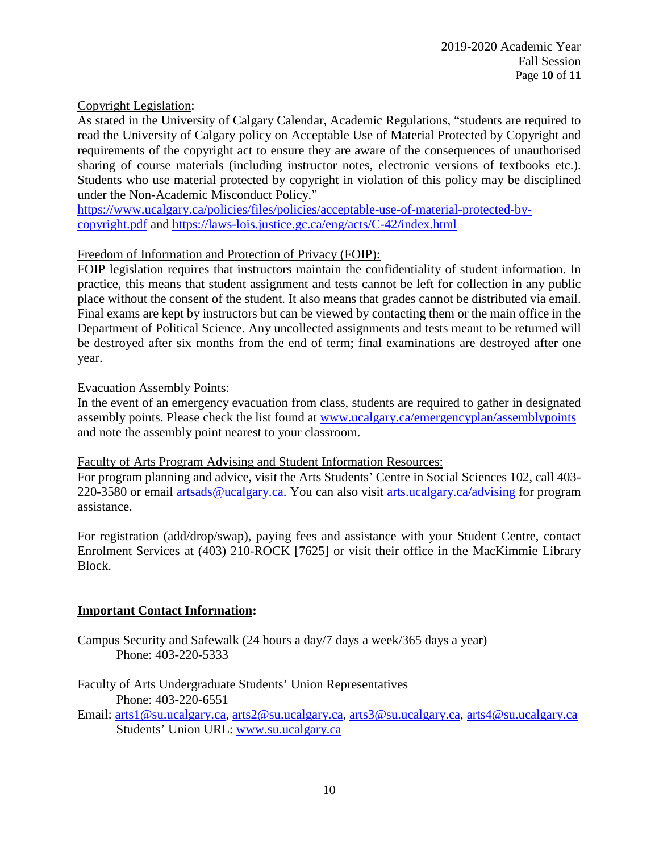### Copyright Legislation:

As stated in the University of Calgary Calendar, Academic Regulations, "students are required to read the University of Calgary policy on Acceptable Use of Material Protected by Copyright and requirements of the copyright act to ensure they are aware of the consequences of unauthorised sharing of course materials (including instructor notes, electronic versions of textbooks etc.). Students who use material protected by copyright in violation of this policy may be disciplined under the Non-Academic Misconduct Policy."

[https://www.ucalgary.ca/policies/files/policies/acceptable-use-of-material-protected-by](https://www.ucalgary.ca/policies/files/policies/acceptable-use-of-material-protected-by-copyright.pdf)[copyright.pdf](https://www.ucalgary.ca/policies/files/policies/acceptable-use-of-material-protected-by-copyright.pdf) and<https://laws-lois.justice.gc.ca/eng/acts/C-42/index.html>

### Freedom of Information and Protection of Privacy (FOIP):

FOIP legislation requires that instructors maintain the confidentiality of student information. In practice, this means that student assignment and tests cannot be left for collection in any public place without the consent of the student. It also means that grades cannot be distributed via email. Final exams are kept by instructors but can be viewed by contacting them or the main office in the Department of Political Science. Any uncollected assignments and tests meant to be returned will be destroyed after six months from the end of term; final examinations are destroyed after one year.

#### Evacuation Assembly Points:

In the event of an emergency evacuation from class, students are required to gather in designated assembly points. Please check the list found at [www.ucalgary.ca/emergencyplan/assemblypoints](http://www.ucalgary.ca/emergencyplan/assemblypoints) and note the assembly point nearest to your classroom.

### Faculty of Arts Program Advising and Student Information Resources:

For program planning and advice, visit the Arts Students' Centre in Social Sciences 102, call 403- 220-3580 or email [artsads@ucalgary.ca.](mailto:artsads@ucalgary.ca) You can also visit [arts.ucalgary.ca/advising](http://arts.ucalgary.ca/advising) for program assistance.

For registration (add/drop/swap), paying fees and assistance with your Student Centre, contact Enrolment Services at (403) 210-ROCK [7625] or visit their office in the MacKimmie Library Block.

#### **Important Contact Information:**

Campus Security and Safewalk (24 hours a day/7 days a week/365 days a year) Phone: 403-220-5333

Faculty of Arts Undergraduate Students' Union Representatives Phone: 403-220-6551

Email: [arts1@su.ucalgary.ca,](mailto:arts1@su.ucalgary.ca) [arts2@su.ucalgary.ca,](mailto:arts2@su.ucalgary.ca) [arts3@su.ucalgary.ca,](mailto:arts3@su.ucalgary.ca) [arts4@su.ucalgary.ca](mailto:arts4@su.ucalgary.ca) Students' Union URL: [www.su.ucalgary.ca](http://www.su.ucalgary.ca/)